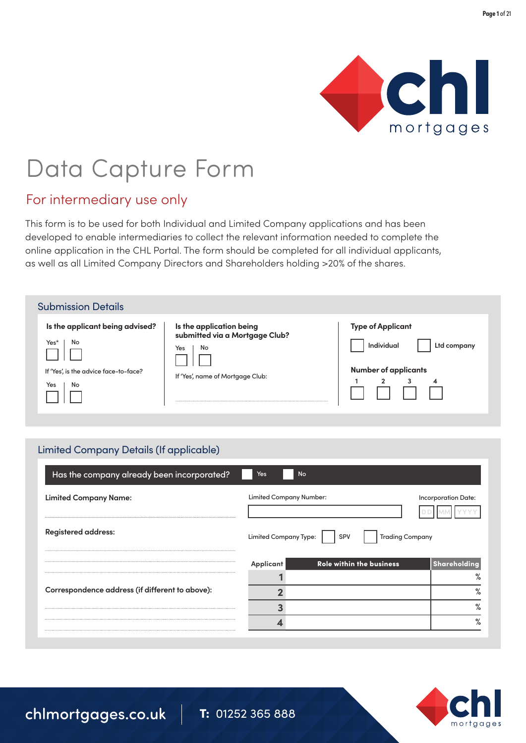

# Data Capture Form

### For intermediary use only

This form is to be used for both Individual and Limited Company applications and has been developed to enable intermediaries to collect the relevant information needed to complete the online application in the CHL Portal. The form should be completed for all individual applicants, as well as all Limited Company Directors and Shareholders holding >20% of the shares.

| <b>Submission Details</b>                                                                           |                                                                                                             |                                                                                                                         |
|-----------------------------------------------------------------------------------------------------|-------------------------------------------------------------------------------------------------------------|-------------------------------------------------------------------------------------------------------------------------|
| Is the applicant being advised?<br>No<br>Yes*<br>If 'Yes', is the advice face-to-face?<br>No<br>Yes | Is the application being<br>submitted via a Mortgage Club?<br>Yes<br>No<br>If 'Yes', name of Mortgage Club: | <b>Type of Applicant</b><br><b>Individual</b><br>Ltd company<br><b>Number of applicants</b><br>$\overline{2}$<br>3<br>4 |

#### Limited Company Details (If applicable)

| Has the company already been incorporated?      | Yes<br><b>No</b>        |                                 |                            |
|-------------------------------------------------|-------------------------|---------------------------------|----------------------------|
| <b>Limited Company Name:</b>                    | Limited Company Number: |                                 | <b>Incorporation Date:</b> |
| <b>Registered address:</b>                      | Limited Company Type:   | <b>Trading Company</b><br>SPV   |                            |
|                                                 | Applicant               | <b>Role within the business</b> | <b>Shareholding</b>        |
|                                                 |                         |                                 |                            |
| Correspondence address (if different to above): |                         |                                 | %                          |
|                                                 |                         |                                 | %                          |
|                                                 |                         |                                 | $\mathbf{o}$               |
|                                                 |                         |                                 |                            |

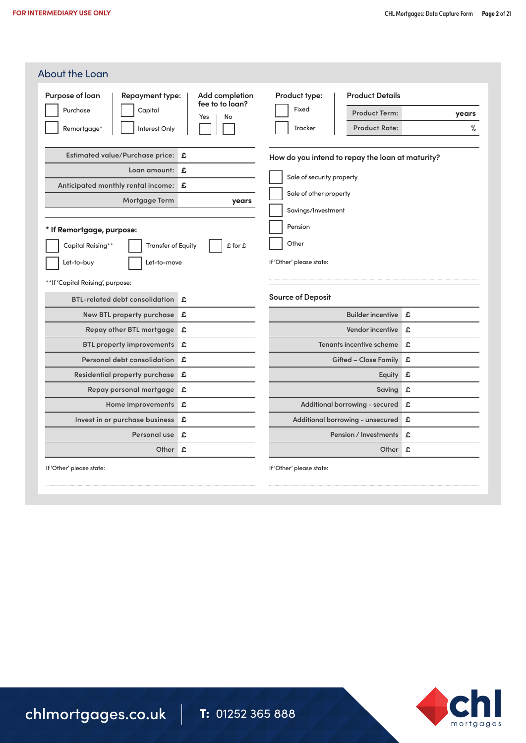| Purpose of loan<br><b>Repayment type:</b>      | Add completion               | Product type:<br><b>Product Details</b>          |       |
|------------------------------------------------|------------------------------|--------------------------------------------------|-------|
| Purchase<br>Capital                            | fee to to loan?<br>No<br>Yes | Fixed<br><b>Product Term:</b>                    | years |
| Interest Only<br>Remortgage*                   |                              | Tracker<br><b>Product Rate:</b>                  | %     |
| Estimated value/Purchase price: £              |                              | How do you intend to repay the loan at maturity? |       |
| Loan amount: £                                 |                              | Sale of security property                        |       |
| Anticipated monthly rental income: E           |                              |                                                  |       |
| Mortgage Term                                  | years                        | Sale of other property                           |       |
|                                                |                              | Savings/Investment                               |       |
| * If Remortgage, purpose:                      |                              | Pension                                          |       |
| Capital Raising**<br><b>Transfer of Equity</b> | £ for £                      | Other                                            |       |
| Let-to-buy<br>Let-to-move                      |                              | If 'Other' please state:                         |       |
| **If 'Capital Raising', purpose:               |                              |                                                  |       |
| <b>BTL-related debt consolidation</b>          |                              | <b>Source of Deposit</b>                         |       |
| New BTL property purchase £                    | £                            |                                                  |       |
|                                                |                              | Builder incentive £                              |       |
|                                                |                              |                                                  |       |
| Repay other BTL mortgage                       | £                            | Vendor incentive £                               |       |
| <b>BTL property improvements</b>               | £                            | Tenants incentive scheme                         | £     |
| Personal debt consolidation                    | £                            | <b>Gifted - Close Family</b>                     | £     |
| Residential property purchase                  | £                            | Equity                                           | £     |
| Repay personal mortgage                        | £                            | Saving                                           | £     |
| Home improvements                              | £                            | Additional borrowing - secured                   | £     |
| Invest in or purchase business                 | £                            | Additional borrowing - unsecured                 | £     |
| Personal use                                   | £                            | Pension / Investments                            | £     |

mortgages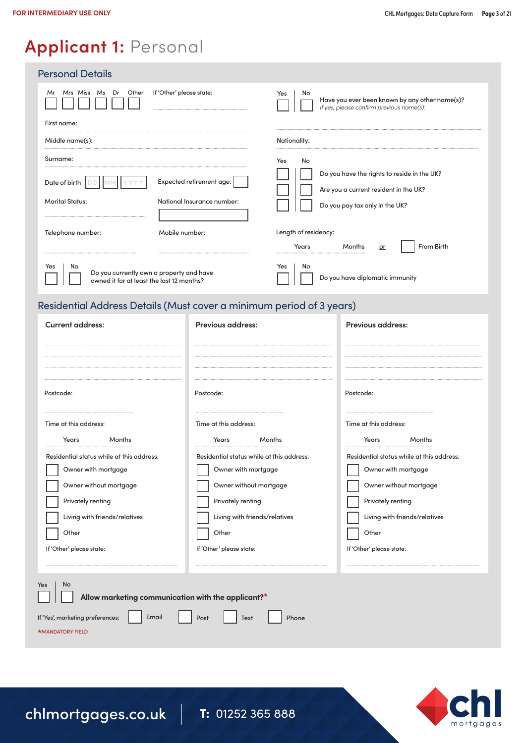### **Applicant 1:** Personal

| <b>Personal Details</b>                                                                                  |                                                             |                                                                                                                        |                                                                                            |          |
|----------------------------------------------------------------------------------------------------------|-------------------------------------------------------------|------------------------------------------------------------------------------------------------------------------------|--------------------------------------------------------------------------------------------|----------|
| Mr Mrs Miss Ms Dr Other<br>If 'Other' please state:                                                      |                                                             | No<br>Yes                                                                                                              | Have you ever been known by any other name(s)?<br>If yes, please confirm previous name(s): |          |
| First name:<br>Middle name(s):                                                                           |                                                             | Nationality:                                                                                                           |                                                                                            |          |
|                                                                                                          |                                                             |                                                                                                                        |                                                                                            | Surname: |
| Expected retirement age:<br>Date of birth $\Box$<br><b>Marital Status:</b><br>National Insurance number: |                                                             | Do you have the rights to reside in the UK?<br>Are you a current resident in the UK?<br>Do you pay tax only in the UK? |                                                                                            |          |
| Mobile number:<br>Telephone number:                                                                      | Length of residency:<br>From Birth<br>Months<br>Years<br>or |                                                                                                                        |                                                                                            |          |
| No<br>Yes<br>Do you currently own a property and have<br>owned it for at least the last 12 months?       |                                                             | No<br>Yes                                                                                                              | Do you have diplomatic immunity                                                            |          |
| Residential Address Details (Must cover a minimum period of 3 years)                                     |                                                             |                                                                                                                        |                                                                                            |          |
| <b>Current address:</b>                                                                                  | Previous address:                                           |                                                                                                                        | Previous address:                                                                          |          |
|                                                                                                          |                                                             |                                                                                                                        |                                                                                            |          |
|                                                                                                          |                                                             |                                                                                                                        |                                                                                            |          |
| Postcode:                                                                                                | Postcode:<br>Time at this address:                          |                                                                                                                        | Postcode:                                                                                  |          |
| Time at this address:                                                                                    |                                                             |                                                                                                                        | Time at this address:                                                                      |          |
| Years<br>Months<br>Years Months                                                                          |                                                             |                                                                                                                        | Years<br>Months                                                                            |          |
| .<br>.<br>$\cdots$                                                                                       |                                                             |                                                                                                                        | .<br>$\cdots$                                                                              |          |

| Time at this address:                                                                                                                                     | Time at this address:                                                                                                                                     | Time at this address:                                                                                                                                     |  |
|-----------------------------------------------------------------------------------------------------------------------------------------------------------|-----------------------------------------------------------------------------------------------------------------------------------------------------------|-----------------------------------------------------------------------------------------------------------------------------------------------------------|--|
| Years<br>Months                                                                                                                                           | Months<br>Years                                                                                                                                           | Months<br>Years                                                                                                                                           |  |
| Residential status while at this address:<br>Owner with mortgage<br>Owner without mortgage<br>Privately renting<br>Living with friends/relatives<br>Other | Residential status while at this address:<br>Owner with mortgage<br>Owner without mortgage<br>Privately renting<br>Living with friends/relatives<br>Other | Residential status while at this address:<br>Owner with mortgage<br>Owner without mortgage<br>Privately renting<br>Living with friends/relatives<br>Other |  |
| If 'Other' please state:                                                                                                                                  | If 'Other' please state:                                                                                                                                  | If 'Other' please state:                                                                                                                                  |  |
|                                                                                                                                                           |                                                                                                                                                           |                                                                                                                                                           |  |
| Yes<br><b>No</b><br>Allow marketing communication with the applicant?*<br>If 'Yes', marketing preferences:<br>Email<br><b>*MANDATORY FIELD</b>            | Phone<br>Post<br>Text                                                                                                                                     |                                                                                                                                                           |  |
|                                                                                                                                                           |                                                                                                                                                           |                                                                                                                                                           |  |

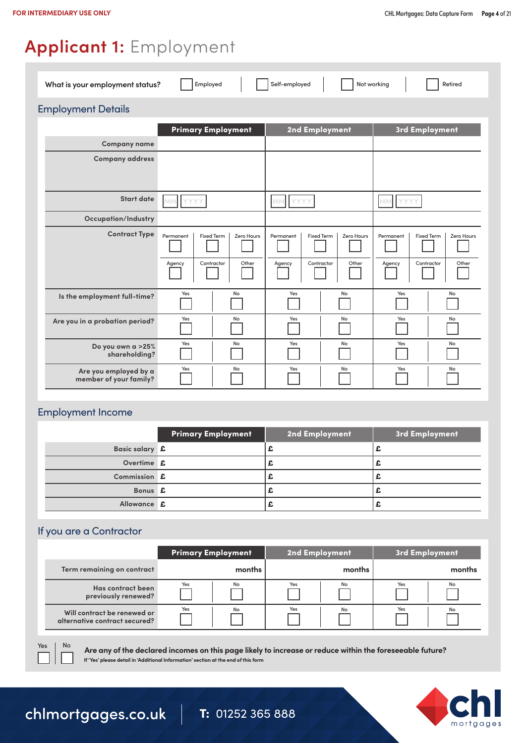### **Applicant 1:** Employment

| What is your employment status?                 | Employed                                                                      | Self-employed<br>Not working                                                  | Retired                                                                       |
|-------------------------------------------------|-------------------------------------------------------------------------------|-------------------------------------------------------------------------------|-------------------------------------------------------------------------------|
| <b>Employment Details</b>                       |                                                                               |                                                                               |                                                                               |
|                                                 | <b>Primary Employment</b>                                                     | 2nd Employment                                                                | 3rd Employment                                                                |
| <b>Company name</b>                             |                                                                               |                                                                               |                                                                               |
| <b>Company address</b>                          |                                                                               |                                                                               |                                                                               |
|                                                 |                                                                               |                                                                               |                                                                               |
| <b>Start date</b>                               | MM YYYY                                                                       | MM<br>YYYY                                                                    | <b>MM</b><br>YYYY                                                             |
| <b>Occupation/Industry</b>                      |                                                                               |                                                                               |                                                                               |
| <b>Contract Type</b>                            | Permanent<br><b>Fixed Term</b><br>Zero Hours<br>Contractor<br>Other<br>Agency | Permanent<br><b>Fixed Term</b><br>Zero Hours<br>Contractor<br>Other<br>Agency | <b>Fixed Term</b><br>Permanent<br>Zero Hours<br>Contractor<br>Other<br>Agency |
| Is the employment full-time?                    | Yes<br>No                                                                     | Yes<br>No                                                                     | Yes<br>No                                                                     |
| Are you in a probation period?                  | Yes<br>No                                                                     | Yes<br>No                                                                     | Yes<br>No                                                                     |
| Do you own a >25%<br>shareholding?              | Yes<br>No                                                                     | Yes<br>No                                                                     | Yes<br>No                                                                     |
| Are you employed by a<br>member of your family? | Yes<br>No                                                                     | No<br>Yes                                                                     | Yes<br>No                                                                     |

#### Employment Income

|                | <b>Primary Employment</b> | 2nd Employment | 3rd Employment |
|----------------|---------------------------|----------------|----------------|
| Basic salary £ |                           |                |                |
| Overtime £     |                           | --             |                |
| Commission £   |                           |                |                |
| Bonus £        |                           |                |                |
| Allowance £    |                           |                |                |

#### If you are a Contractor

|                               | <b>Primary Employment</b> | 2nd Employment | 3rd Employment |
|-------------------------------|---------------------------|----------------|----------------|
| Term remaining on contract    | months                    | months         | months         |
| Has contract been             | Yes                       | Yes            | Yes            |
| previously renewed?           | No                        | No             | No             |
| Will contract be renewed or   | Yes                       | Yes            | Yes            |
| alternative contract secured? | No                        | No             | No             |

**Are any of the declared incomes on this page likely to increase or reduce within the foreseeable future? If 'Yes' please detail in 'Additional Information' section at the end of this form**



Yes | No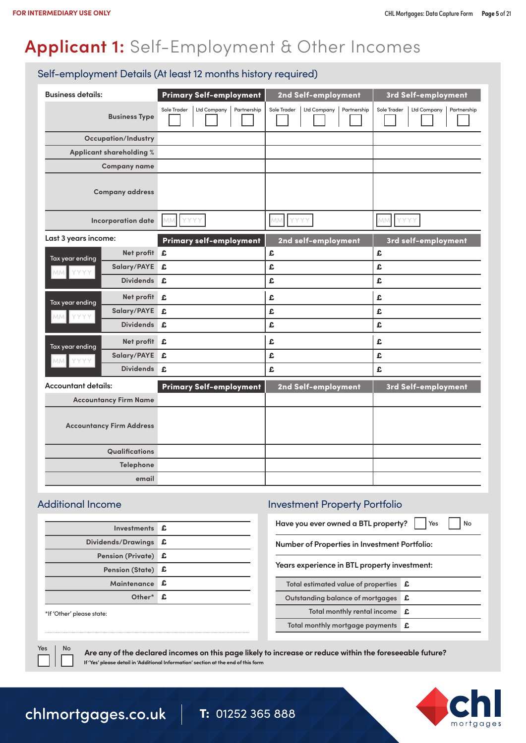### **Applicant 1:** Self-Employment & Other Incomes

#### Self-employment Details (At least 12 months history required)

| <b>Business details:</b>   |                                 | Primary Self-employment                  | 2nd Self-employment                       | 3rd Self-employment                      |
|----------------------------|---------------------------------|------------------------------------------|-------------------------------------------|------------------------------------------|
|                            | <b>Business Type</b>            | Sole Trader<br>Ltd Company   Partnership | Ltd Company<br>Partnership<br>Sole Trader | Ltd Company   Partnership<br>Sole Trader |
|                            | <b>Occupation/Industry</b>      |                                          |                                           |                                          |
|                            | Applicant shareholding %        |                                          |                                           |                                          |
|                            | <b>Company name</b>             |                                          |                                           |                                          |
|                            | <b>Company address</b>          |                                          |                                           |                                          |
|                            | Incorporation date              | <b>YYYY</b><br>MM.                       | YYYY<br>MM                                | <b>YYYY</b><br>MM                        |
| Last 3 years income:       |                                 | <b>Primary self-employment</b>           | 2nd self-employment                       | 3rd self-employment                      |
| Tax year ending            | Net profit £                    |                                          | £                                         | £                                        |
| YYYY<br>MM.                | Salary/PAYE £                   |                                          | £                                         | £                                        |
|                            | <b>Dividends</b>                | £.                                       | £                                         | £                                        |
| Tax year ending            | Net profit £                    |                                          | £                                         | £                                        |
| YYYY<br>MMI.               | Salary/PAYE £                   |                                          | £                                         | £                                        |
|                            | <b>Dividends</b>                | £                                        | £                                         | £                                        |
| Tax year ending            | Net profit £                    |                                          | £                                         | £                                        |
| MM YYYY                    | Salary/PAYE £                   |                                          | £                                         | £                                        |
|                            | Dividends £                     |                                          | £                                         | £                                        |
| <b>Accountant details:</b> |                                 | <b>Primary Self-employment</b>           | 2nd Self-employment                       | 3rd Self-employment                      |
|                            | <b>Accountancy Firm Name</b>    |                                          |                                           |                                          |
|                            | <b>Accountancy Firm Address</b> |                                          |                                           |                                          |
|                            | Qualifications                  |                                          |                                           |                                          |
|                            | Telephone                       |                                          |                                           |                                          |
| email                      |                                 |                                          |                                           |                                          |

| Investments £          |    |
|------------------------|----|
| Dividends/Drawings     | £  |
| Pension (Private) £    |    |
| Pension (State) £      |    |
| Maintenance            | -£ |
| Other <sup>*</sup> $f$ |    |
| $*if($                 |    |

#### \*If 'Other' please state:

### Additional Income Investment Property Portfolio

**Have you ever owned a BTL property?**   $Yes$  | | No

**Number of Properties in Investment Portfolio:**

**Years experience in BTL property investment:**

| Total estimated value of properties <b>£</b> |   |
|----------------------------------------------|---|
| Outstanding balance of mortgages <b>£</b>    |   |
| Total monthly rental income                  | £ |
| Total monthly mortgage payments £            |   |
|                                              |   |

Yes | No

**Are any of the declared incomes on this page likely to increase or reduce within the foreseeable future? If 'Yes' please detail in 'Additional Information' section at the end of this form**

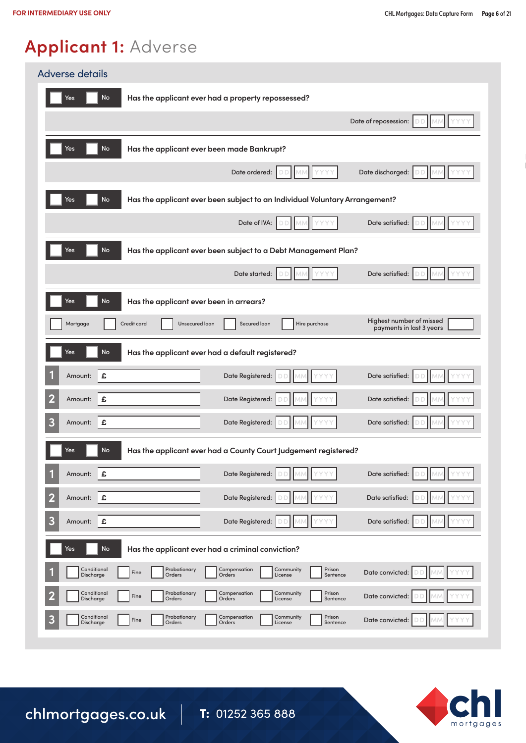## **Applicant 1:** Adverse

| <b>Adverse details</b>                                                                                                                                     |
|------------------------------------------------------------------------------------------------------------------------------------------------------------|
| <b>No</b><br>Yes<br>Has the applicant ever had a property repossessed?                                                                                     |
| Date of reposession:                                                                                                                                       |
| <b>No</b><br>Has the applicant ever been made Bankrupt?<br>Yes                                                                                             |
| Date ordered:<br>Date discharged:                                                                                                                          |
| <b>No</b><br>Yes<br>Has the applicant ever been subject to an Individual Voluntary Arrangement?                                                            |
| Date satisfied:<br>Date of IVA:                                                                                                                            |
| <b>No</b><br>Has the applicant ever been subject to a Debt Management Plan?<br>Yes                                                                         |
| Date satisfied:<br>Date started:                                                                                                                           |
| No<br>Has the applicant ever been in arrears?<br>Yes                                                                                                       |
| Highest number of missed<br>Credit card<br>Unsecured loan<br>Secured loan<br>Hire purchase<br>Mortgage<br>payments in last 3 years                         |
| No<br>Has the applicant ever had a default registered?<br>Yes                                                                                              |
| £<br>Date Registered:<br>Date satisfied:<br>Amount:                                                                                                        |
| 2<br>£<br>Date Registered:<br>Date satisfied:<br>Amount:                                                                                                   |
| 3<br>Date satisfied:<br>Date Registered:<br>£<br>Amount:                                                                                                   |
| Yes<br>No<br>Has the applicant ever had a County Court Judgement registered?                                                                               |
| 1<br>£<br>Date Registered:<br>Date satisfied:<br>Amount:                                                                                                   |
| 2<br>£<br>Date Registered:<br>Date satisfied:<br>Amount:                                                                                                   |
| 3<br>Date Registered:<br>Date satisfied:<br>£<br>Amount:                                                                                                   |
| No<br>Yes<br>Has the applicant ever had a criminal conviction?                                                                                             |
| Conditional<br>Probationary<br>Compensation<br>Prison<br>Community<br>Date convicted:<br>Fine<br>Discharge<br>Orders<br>Orders<br>License<br>Sentence      |
| Conditional<br>Probationary<br>Compensation<br>Community<br>Prison<br>Date convicted:<br>Fine<br>Discharge<br>Orders<br>Orders<br>Sentence<br>License      |
| Conditional<br>Probationary<br>Compensation<br>Prison<br>Community<br>3<br>Date convicted:<br>Fine<br>Discharge<br>Orders<br>Orders<br>License<br>Sentence |

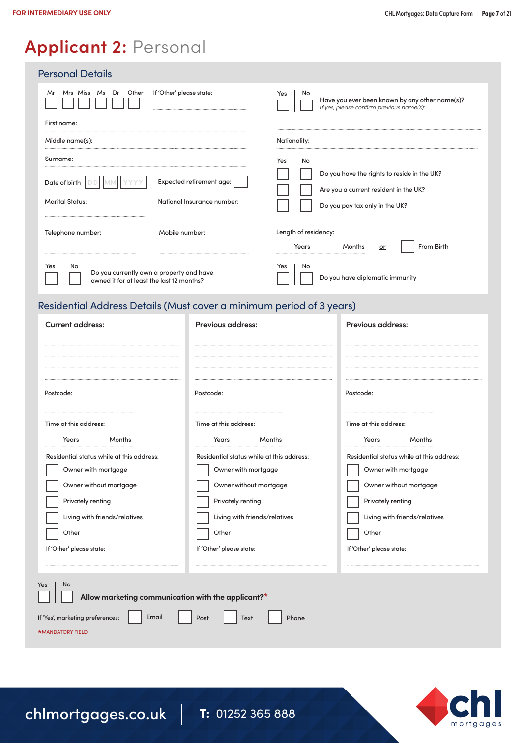### **Applicant 2:** Personal

| <b>Personal Details</b>                                                                            |                                                                                                         |
|----------------------------------------------------------------------------------------------------|---------------------------------------------------------------------------------------------------------|
| Other<br>Mrs Miss Ms Dr<br>If 'Other' please state:<br>Mr                                          | Yes<br>No<br>Have you ever been known by any other name(s)?<br>If yes, please confirm previous name(s): |
| First name:                                                                                        |                                                                                                         |
| Middle name(s):                                                                                    | Nationality:                                                                                            |
| Surname:<br>Expected retirement age:<br>Date of birth                                              | No<br>Yes<br>Do you have the rights to reside in the UK?                                                |
| <b>Marital Status:</b><br>National Insurance number:                                               | Are you a current resident in the UK?<br>Do you pay tax only in the UK?                                 |
| Mobile number:<br>Telephone number:                                                                | Length of residency:<br>From Birth<br>Years<br>Months<br>or                                             |
| No<br>Yes<br>Do you currently own a property and have<br>owned it for at least the last 12 months? | Yes<br>No<br>Do you have diplomatic immunity                                                            |

### Residential Address Details (Must cover a minimum period of 3 years)

| <b>Current address:</b>                                              | <b>Previous address:</b>                  | <b>Previous address:</b>                  |  |  |  |
|----------------------------------------------------------------------|-------------------------------------------|-------------------------------------------|--|--|--|
|                                                                      |                                           |                                           |  |  |  |
| Postcode:                                                            | Postcode:                                 | Postcode:                                 |  |  |  |
| Time at this address:                                                | Time at this address:                     | Time at this address:                     |  |  |  |
| Years<br>Months                                                      | Years<br>Months                           | Years<br>Months                           |  |  |  |
| Residential status while at this address:                            | Residential status while at this address: | Residential status while at this address: |  |  |  |
| Owner with mortgage                                                  | Owner with mortgage                       | Owner with mortgage                       |  |  |  |
| Owner without mortgage                                               | Owner without mortgage                    | Owner without mortgage                    |  |  |  |
| Privately renting                                                    | Privately renting                         | Privately renting                         |  |  |  |
| Living with friends/relatives                                        | Living with friends/relatives             | Living with friends/relatives             |  |  |  |
| Other                                                                | Other                                     | Other                                     |  |  |  |
| If 'Other' please state:                                             | If 'Other' please state:                  | If 'Other' please state:                  |  |  |  |
|                                                                      |                                           |                                           |  |  |  |
| No<br>Yes<br>Allow marketing communication with the applicant?*      |                                           |                                           |  |  |  |
| If 'Yes', marketing preferences:<br>Email<br><b>*MANDATORY FIELD</b> | Post<br>Phone<br>Text                     |                                           |  |  |  |
|                                                                      |                                           |                                           |  |  |  |

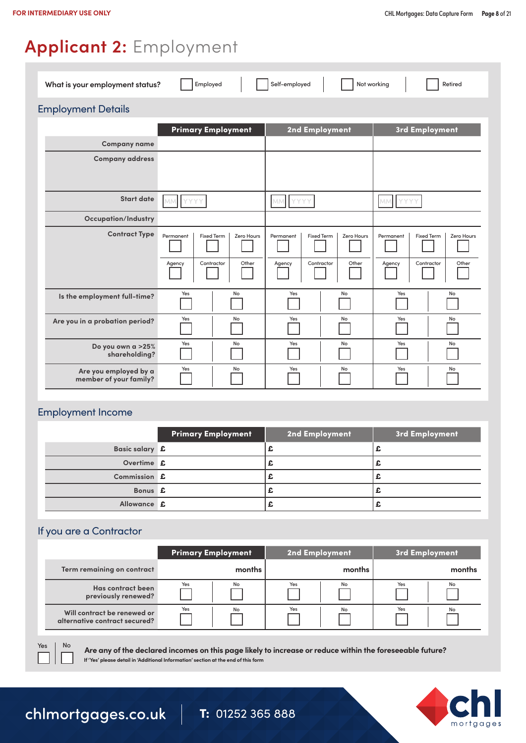# **Applicant 2:** Employment

| Self-employed<br>Not working<br>What is your employment status?<br>Employed<br>Retired |                                                                               |                                                                               |                                                                               |  |
|----------------------------------------------------------------------------------------|-------------------------------------------------------------------------------|-------------------------------------------------------------------------------|-------------------------------------------------------------------------------|--|
| <b>Employment Details</b>                                                              |                                                                               |                                                                               |                                                                               |  |
|                                                                                        | <b>Primary Employment</b>                                                     | 2nd Employment                                                                | 3rd Employment                                                                |  |
| <b>Company name</b>                                                                    |                                                                               |                                                                               |                                                                               |  |
| <b>Company address</b>                                                                 |                                                                               |                                                                               |                                                                               |  |
|                                                                                        |                                                                               |                                                                               |                                                                               |  |
| <b>Start date</b>                                                                      | YYYY<br><b>MM</b>                                                             | MM<br><b>YYYY</b>                                                             | <b>MM</b><br>YYYY                                                             |  |
| <b>Occupation/Industry</b>                                                             |                                                                               |                                                                               |                                                                               |  |
| <b>Contract Type</b>                                                                   | Permanent<br><b>Fixed Term</b><br>Zero Hours<br>Other<br>Contractor<br>Agency | Permanent<br><b>Fixed Term</b><br>Zero Hours<br>Contractor<br>Other<br>Agency | <b>Fixed Term</b><br>Zero Hours<br>Permanent<br>Contractor<br>Other<br>Agency |  |
| Is the employment full-time?                                                           | Yes<br>No                                                                     | Yes<br>No                                                                     | Yes<br>No                                                                     |  |
| Are you in a probation period?                                                         | Yes<br>No                                                                     | No<br>Yes                                                                     | Yes<br>No                                                                     |  |
| Do you own a >25%<br>shareholding?                                                     | Yes<br>No                                                                     | Yes<br>No                                                                     | Yes<br>No                                                                     |  |
| Are you employed by a<br>member of your family?                                        | Yes<br>No                                                                     | Yes<br>No                                                                     | Yes<br>No                                                                     |  |

#### Employment Income

|                | <b>Primary Employment</b> | 2nd Employment | 3rd Employment |
|----------------|---------------------------|----------------|----------------|
| Basic salary £ |                           |                |                |
| Overtime £     |                           |                |                |
| Commission £   |                           |                |                |
| Bonus £        |                           |                |                |
| Allowance £    |                           |                |                |

#### If you are a Contractor

|                               | <b>Primary Employment</b> | 2nd Employment | 3rd Employment |
|-------------------------------|---------------------------|----------------|----------------|
| Term remaining on contract    | months                    | months         | months         |
| Has contract been             | No                        | Yes            | Yes            |
| previously renewed?           | Yes                       | No             | No             |
| Will contract be renewed or   | Yes                       | Yes            | Yes            |
| alternative contract secured? | No                        | No             | No             |

**Are any of the declared incomes on this page likely to increase or reduce within the foreseeable future? If 'Yes' please detail in 'Additional Information' section at the end of this form**



### chlmortgages.co.uk | T: 01252 365 888

Yes | No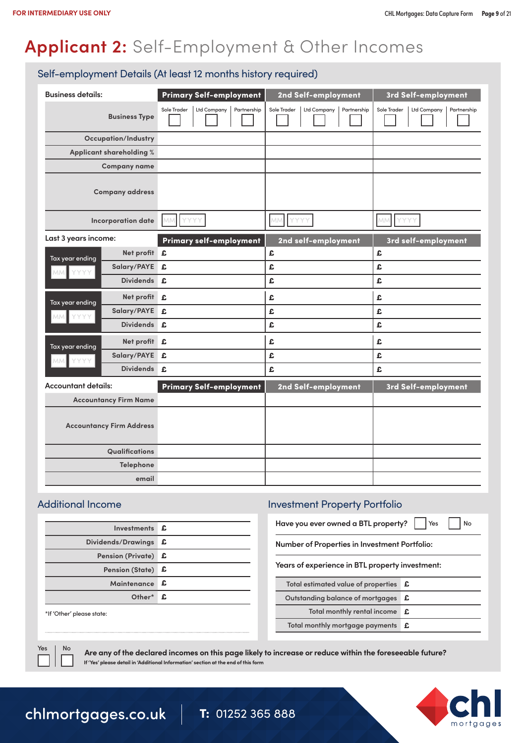# **Applicant 2:** Self-Employment & Other Incomes

#### Self-employment Details (At least 12 months history required)

| <b>Business details:</b>   |                                 | Primary Self-employment                   | 2nd Self-employment                       | 3rd Self-employment                       |
|----------------------------|---------------------------------|-------------------------------------------|-------------------------------------------|-------------------------------------------|
|                            | <b>Business Type</b>            | Sole Trader<br>Ltd Company<br>Partnership | Ltd Company<br>Partnership<br>Sole Trader | Ltd Company<br>Partnership<br>Sole Trader |
|                            | <b>Occupation/Industry</b>      |                                           |                                           |                                           |
|                            | Applicant shareholding %        |                                           |                                           |                                           |
|                            | <b>Company name</b>             |                                           |                                           |                                           |
|                            | <b>Company address</b>          |                                           |                                           |                                           |
|                            | <b>Incorporation date</b>       | YYYY<br>MM                                | YYYY<br>MM                                | MM.<br>YYYY                               |
| Last 3 years income:       |                                 | <b>Primary self-employment</b>            | 2nd self-employment                       | 3rd self-employment                       |
| Tax year ending            | Net profit £                    |                                           | £                                         | £                                         |
| YYYY<br><b>MM</b>          | Salary/PAYE £                   |                                           | £                                         | £                                         |
|                            | <b>Dividends</b>                | £.                                        | £                                         | £                                         |
| Tax year ending            | Net profit £                    |                                           | £                                         | £                                         |
| YYYY<br>MM.                | Salary/PAYE                     | £                                         | £                                         | £                                         |
|                            | <b>Dividends</b>                | £.                                        | £                                         | £                                         |
| Tax year ending            | Net profit £                    |                                           | £                                         | £                                         |
| MM YYYY                    | Salary/PAYE                     | £                                         | £                                         | £                                         |
|                            | Dividends £                     |                                           | £                                         | £                                         |
| <b>Accountant details:</b> |                                 | <b>Primary Self-employment</b>            | 2nd Self-employment                       | 3rd Self-employment                       |
|                            | <b>Accountancy Firm Name</b>    |                                           |                                           |                                           |
|                            | <b>Accountancy Firm Address</b> |                                           |                                           |                                           |
|                            | Qualifications                  |                                           |                                           |                                           |
|                            | Telephone                       |                                           |                                           |                                           |
|                            | email                           |                                           |                                           |                                           |

| Investments £       |
|---------------------|
| £                   |
| Pension (Private) £ |
| Pension (State) £   |
| Maintenance £       |
| Other* £            |
|                     |

#### \*If 'Other' please state:

### Additional Income Investment Property Portfolio

**Have you ever owned a BTL property?** | | Yes | | No

**Number of Properties in Investment Portfolio:**

**Years of experience in BTL property investment:**

| Total estimated value of properties $E$   |  |
|-------------------------------------------|--|
| Outstanding balance of mortgages <b>£</b> |  |
| Total monthly rental income <b>£</b>      |  |
| Total monthly mortgage payments £         |  |
|                                           |  |

Yes | No

**Are any of the declared incomes on this page likely to increase or reduce within the foreseeable future? If 'Yes' please detail in 'Additional Information' section at the end of this form**

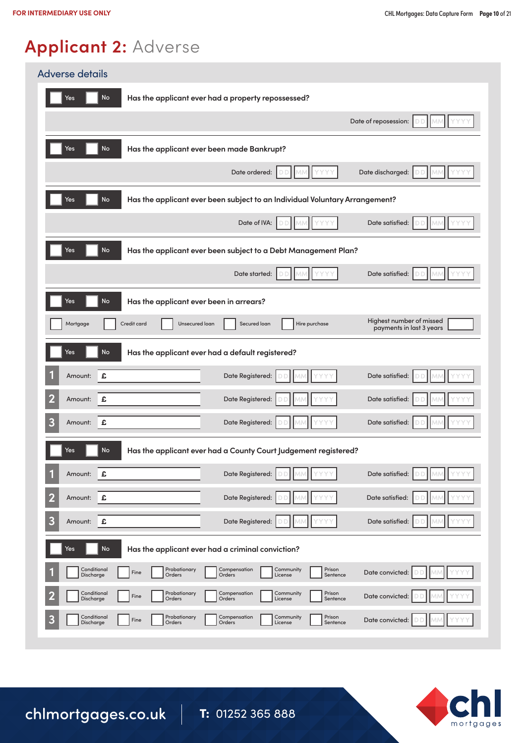# **Applicant 2:** Adverse

| <b>Adverse details</b>                                                                                                                                     |  |  |  |  |
|------------------------------------------------------------------------------------------------------------------------------------------------------------|--|--|--|--|
| <b>No</b><br>Has the applicant ever had a property repossessed?<br>Yes                                                                                     |  |  |  |  |
| Date of reposession:                                                                                                                                       |  |  |  |  |
| Yes<br>No<br>Has the applicant ever been made Bankrupt?                                                                                                    |  |  |  |  |
| Date discharged:<br>Date ordered:                                                                                                                          |  |  |  |  |
| <b>No</b><br>Has the applicant ever been subject to an Individual Voluntary Arrangement?<br>Yes                                                            |  |  |  |  |
| Date of IVA:<br>Date satisfied:<br>Ð                                                                                                                       |  |  |  |  |
| No<br>Has the applicant ever been subject to a Debt Management Plan?<br>Yes                                                                                |  |  |  |  |
| Date satisfied:<br>Date started:                                                                                                                           |  |  |  |  |
| No<br>Yes<br>Has the applicant ever been in arrears?                                                                                                       |  |  |  |  |
| Highest number of missed<br>Credit card<br>Hire purchase<br>Mortgage<br>Unsecured loan<br>Secured loan<br>payments in last 3 years                         |  |  |  |  |
| No<br>Has the applicant ever had a default registered?<br>Yes                                                                                              |  |  |  |  |
| £<br>Date Registered:<br>Date satisfied:<br>Amount:                                                                                                        |  |  |  |  |
| $\overline{\mathbf{2}}$<br>£<br>Date Registered:<br>Date satisfied:<br>Amount:                                                                             |  |  |  |  |
| 3<br>Date Registered:<br>Date satisfied:<br>£<br>Amount:                                                                                                   |  |  |  |  |
| No<br>Has the applicant ever had a County Court Judgement registered?<br>Yes                                                                               |  |  |  |  |
| £<br>Date Registered:<br>Date satisfied:<br>Amount:                                                                                                        |  |  |  |  |
| $\overline{\mathbf{2}}$<br>£<br>Date Registered:<br>Date satisfied:<br>Amount:                                                                             |  |  |  |  |
| 3<br>£<br>Date Registered:<br>Date satisfied:<br>Amount:                                                                                                   |  |  |  |  |
| No<br>Yes<br>Has the applicant ever had a criminal conviction?                                                                                             |  |  |  |  |
| Conditional<br>Probationary<br>Compensation<br>Prison<br>Community<br>Date convicted:<br>Fine<br>Discharge<br>Orders<br>Orders<br>License<br>Sentence      |  |  |  |  |
| Conditional<br>Prison<br>Probationary<br>Compensation<br>Community<br>Date convicted:<br>Fine<br>Discharge<br>Orders<br>Orders<br>License<br>Sentence      |  |  |  |  |
| Conditional<br>Prison<br>Probationary<br>Compensation<br>Community<br>3<br>Fine<br>Date convicted:<br>Discharge<br>Orders<br>Orders<br>License<br>Sentence |  |  |  |  |

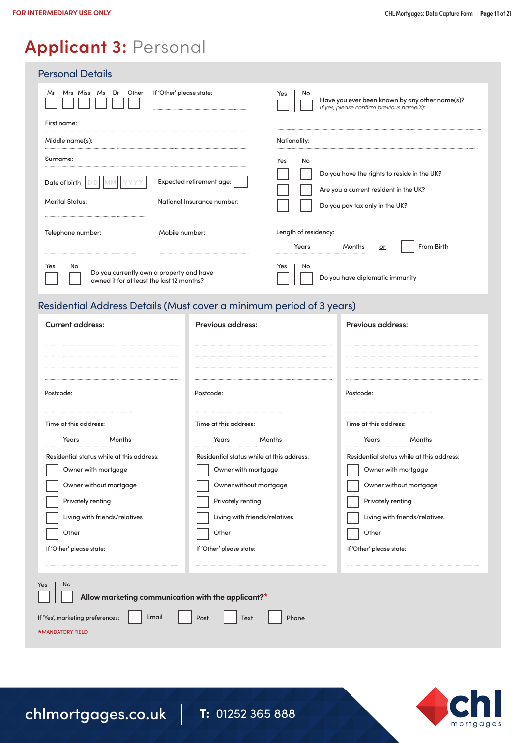### **Applicant 3:** Personal

| <b>Personal Details</b>                                                                            |                                                                                                         |
|----------------------------------------------------------------------------------------------------|---------------------------------------------------------------------------------------------------------|
| Other<br>Mrs Miss Ms<br>Dr<br>If 'Other' please state:<br>Mr                                       | Yes<br>No<br>Have you ever been known by any other name(s)?<br>If yes, please confirm previous name(s): |
| First name:                                                                                        |                                                                                                         |
| Middle name(s):                                                                                    | Nationality:                                                                                            |
| Surname:                                                                                           | No<br>Yes                                                                                               |
| Expected retirement age:<br>Date of birth                                                          | Do you have the rights to reside in the UK?<br>Are you a current resident in the UK?                    |
| <b>Marital Status:</b><br>National Insurance number:                                               | Do you pay tax only in the UK?                                                                          |
| Mobile number:<br>Telephone number:                                                                | Length of residency:<br>From Birth<br>Years<br>Months<br>or                                             |
| No<br>Yes<br>Do you currently own a property and have<br>owned it for at least the last 12 months? | No<br>Yes<br>Do you have diplomatic immunity                                                            |

### Residential Address Details (Must cover a minimum period of 3 years)

| <b>Current address:</b>                                              | <b>Previous address:</b>                  | <b>Previous address:</b>                  |  |  |  |
|----------------------------------------------------------------------|-------------------------------------------|-------------------------------------------|--|--|--|
|                                                                      |                                           |                                           |  |  |  |
| Postcode:                                                            | Postcode:                                 | Postcode:                                 |  |  |  |
| Time at this address:                                                | Time at this address:                     | Time at this address:                     |  |  |  |
| Years<br>Months                                                      | Years<br>Months                           | Years<br>Months                           |  |  |  |
| Residential status while at this address:                            | Residential status while at this address: | Residential status while at this address: |  |  |  |
| Owner with mortgage                                                  | Owner with mortgage                       | Owner with mortgage                       |  |  |  |
| Owner without mortgage                                               | Owner without mortgage                    | Owner without mortgage                    |  |  |  |
| Privately renting                                                    | Privately renting                         | Privately renting                         |  |  |  |
| Living with friends/relatives                                        | Living with friends/relatives             | Living with friends/relatives             |  |  |  |
| Other                                                                | Other                                     | Other                                     |  |  |  |
| If 'Other' please state:                                             | If 'Other' please state:                  | If 'Other' please state:                  |  |  |  |
|                                                                      |                                           |                                           |  |  |  |
| No<br>Yes<br>Allow marketing communication with the applicant?*      |                                           |                                           |  |  |  |
| If 'Yes', marketing preferences:<br>Email<br><b>*MANDATORY FIELD</b> | Post<br>Phone<br>Text                     |                                           |  |  |  |
|                                                                      |                                           |                                           |  |  |  |

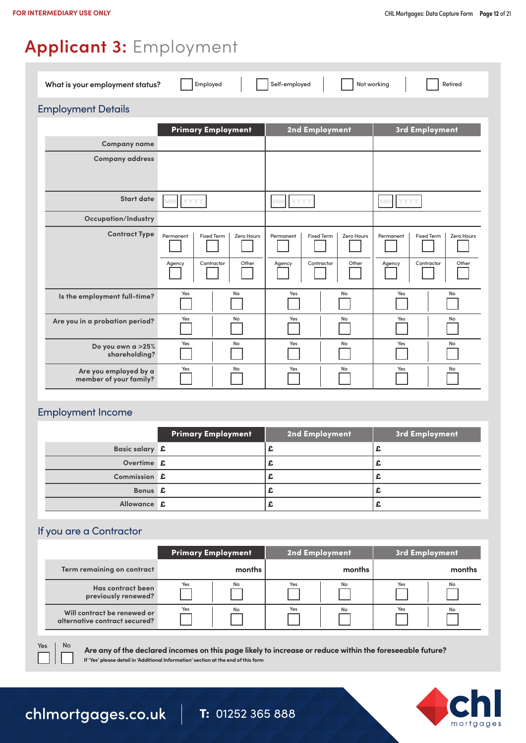### **Applicant 3:** Employment

| Self-employed<br>Not working<br>What is your employment status?<br>Employed<br>Retired |                           |                   |                   |  |
|----------------------------------------------------------------------------------------|---------------------------|-------------------|-------------------|--|
| <b>Employment Details</b>                                                              |                           |                   |                   |  |
|                                                                                        | <b>Primary Employment</b> | 2nd Employment    | 3rd Employment    |  |
| <b>Company name</b>                                                                    |                           |                   |                   |  |
| <b>Company address</b>                                                                 |                           |                   |                   |  |
| <b>Start date</b>                                                                      | YYYY                      | <b>YYYY</b>       | <b>MM</b>         |  |
|                                                                                        | MM                        | MM.               | YYYY              |  |
| <b>Occupation/Industry</b>                                                             |                           |                   |                   |  |
| <b>Contract Type</b>                                                                   | Permanent                 | Permanent         | <b>Fixed Term</b> |  |
|                                                                                        | <b>Fixed Term</b>         | <b>Fixed Term</b> | Permanent         |  |
|                                                                                        | Zero Hours                | Zero Hours        | Zero Hours        |  |
|                                                                                        | Other                     | Contractor        | Contractor        |  |
|                                                                                        | Contractor                | Other             | Other             |  |
|                                                                                        | Agency                    | Agency            | Agency            |  |
| Is the employment full-time?                                                           | Yes                       | Yes               | Yes               |  |
|                                                                                        | No                        | No                | No                |  |
| Are you in a probation period?                                                         | Yes                       | Yes               | Yes               |  |
|                                                                                        | No                        | No                | No                |  |
| Do you own a >25%                                                                      | Yes                       | Yes               | Yes               |  |
| shareholding?                                                                          | No                        | No                | No                |  |
| Are you employed by a                                                                  | Yes                       | Yes               | Yes               |  |
| member of your family?                                                                 | No                        | No                | No                |  |

#### Employment Income

|                | <b>Primary Employment</b> | 2nd Employment | 3rd Employment |
|----------------|---------------------------|----------------|----------------|
| Basic salary £ |                           |                |                |
| Overtime £     |                           | --             |                |
| Commission £   |                           |                |                |
| Bonus £        |                           |                |                |
| Allowance £    |                           |                |                |

#### If you are a Contractor

|                               | <b>Primary Employment</b> | 2nd Employment | 3rd Employment |
|-------------------------------|---------------------------|----------------|----------------|
| Term remaining on contract    | months                    | months         | months         |
| Has contract been             | Yes                       | Yes            | Yes            |
| previously renewed?           | No                        | No             | No             |
| Will contract be renewed or   | Yes                       | Yes            | Yes            |
| alternative contract secured? | No                        | No             | No             |

**Are any of the declared incomes on this page likely to increase or reduce within the foreseeable future? If 'Yes' please detail in 'Additional Information' section at the end of this form**



Yes | No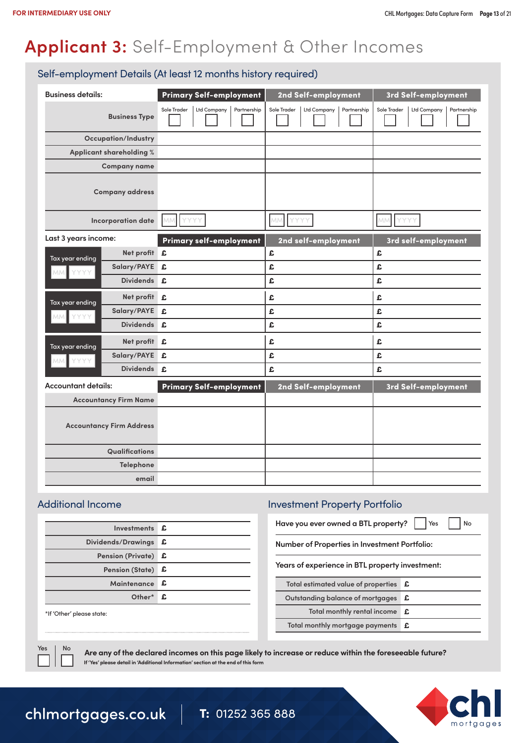# **Applicant 3:** Self-Employment & Other Incomes

#### Self-employment Details (At least 12 months history required)

| <b>Business details:</b>       |                                 | <b>Primary Self-employment</b>            | 2nd Self-employment                       | 3rd Self-employment                       |
|--------------------------------|---------------------------------|-------------------------------------------|-------------------------------------------|-------------------------------------------|
|                                | <b>Business Type</b>            | Sole Trader<br>Ltd Company<br>Partnership | Ltd Company<br>Sole Trader<br>Partnership | Ltd Company<br>Sole Trader<br>Partnership |
|                                | <b>Occupation/Industry</b>      |                                           |                                           |                                           |
|                                | Applicant shareholding %        |                                           |                                           |                                           |
|                                | <b>Company name</b>             |                                           |                                           |                                           |
|                                | <b>Company address</b>          |                                           |                                           |                                           |
|                                | Incorporation date              | YYYY<br>MM.                               | MM YYYY                                   | YYYY<br>MM.                               |
| Last 3 years income:           |                                 | Primary self-employment                   | 2nd self-employment                       | 3rd self-employment                       |
| Tax year ending                | Net profit £                    |                                           | £                                         | £                                         |
| YYYY<br>MM.                    | Salary/PAYE £                   |                                           | £                                         | £                                         |
|                                | <b>Dividends</b>                | ₽.                                        | £                                         | £                                         |
| Tax year ending                | Net profit £                    |                                           | £                                         | £                                         |
| YYYY<br>MM.                    | Salary/PAYE                     | £                                         | £                                         | £                                         |
|                                | <b>Dividends</b>                | £                                         | £                                         | £                                         |
|                                | Net profit £                    |                                           | £                                         | £                                         |
| Tax year ending<br>YYYY<br>MM. | Salary/PAYE £                   |                                           | £                                         | £                                         |
|                                | Dividends £                     |                                           | £                                         | £                                         |
| <b>Accountant details:</b>     |                                 | <b>Primary Self-employment</b>            | 2nd Self-employment                       | 3rd Self-employment                       |
|                                | <b>Accountancy Firm Name</b>    |                                           |                                           |                                           |
|                                | <b>Accountancy Firm Address</b> |                                           |                                           |                                           |
|                                | Qualifications                  |                                           |                                           |                                           |
|                                | Telephone                       |                                           |                                           |                                           |
|                                | email                           |                                           |                                           |                                           |

| Investments £       |
|---------------------|
| £                   |
| Pension (Private) £ |
| Pension (State) £   |
| Maintenance £       |
| Other* £            |
|                     |

#### \*If 'Other' please state:

### Additional Income Investment Property Portfolio

**Have you ever owned a BTL property?** | | Yes | | No

**Number of Properties in Investment Portfolio:**

**Years of experience in BTL property investment:**

| Total estimated value of properties <b>£</b>       |  |
|----------------------------------------------------|--|
| Outstanding balance of mortgages <b>£</b>          |  |
| Total monthly rental income <b>£</b>               |  |
| Total monthly mortgage payments $\mathbf{\pounds}$ |  |
|                                                    |  |

Yes | No

**Are any of the declared incomes on this page likely to increase or reduce within the foreseeable future? If 'Yes' please detail in 'Additional Information' section at the end of this form**

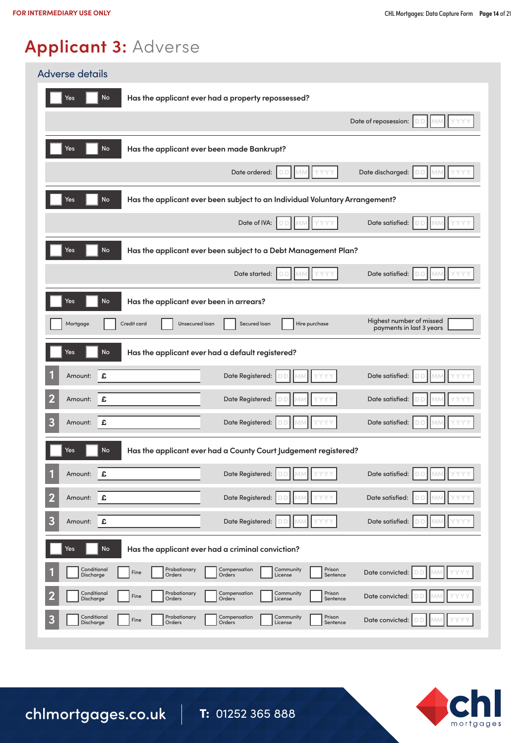# **Applicant 3:** Adverse

| <b>Adverse details</b>                                                                                                                                     |  |  |  |  |
|------------------------------------------------------------------------------------------------------------------------------------------------------------|--|--|--|--|
| <b>No</b><br>Has the applicant ever had a property repossessed?<br>Yes                                                                                     |  |  |  |  |
| Date of reposession:                                                                                                                                       |  |  |  |  |
| Yes<br>No<br>Has the applicant ever been made Bankrupt?                                                                                                    |  |  |  |  |
| Date discharged:<br>Date ordered:                                                                                                                          |  |  |  |  |
| No<br>Has the applicant ever been subject to an Individual Voluntary Arrangement?<br>Yes                                                                   |  |  |  |  |
| Date of IVA:<br>Date satisfied:<br>Ð                                                                                                                       |  |  |  |  |
| No<br>Has the applicant ever been subject to a Debt Management Plan?<br>Yes                                                                                |  |  |  |  |
| Date satisfied:<br>Date started:                                                                                                                           |  |  |  |  |
| No<br>Yes<br>Has the applicant ever been in arrears?                                                                                                       |  |  |  |  |
| Highest number of missed<br>Credit card<br>Hire purchase<br>Mortgage<br>Unsecured loan<br>Secured loan<br>payments in last 3 years                         |  |  |  |  |
| No<br>Has the applicant ever had a default registered?<br>Yes                                                                                              |  |  |  |  |
| £<br>Date Registered:<br>Date satisfied:<br>Amount:                                                                                                        |  |  |  |  |
| $\overline{\mathbf{2}}$<br>£<br>Date Registered:<br>Date satisfied:<br>Amount:                                                                             |  |  |  |  |
| 3<br>Date Registered:<br>Date satisfied:<br>£<br>Amount:                                                                                                   |  |  |  |  |
| No<br>Has the applicant ever had a County Court Judgement registered?<br>Yes                                                                               |  |  |  |  |
| £<br>Date Registered:<br>Date satisfied:<br>Amount:                                                                                                        |  |  |  |  |
| $\overline{\mathbf{2}}$<br>£<br>Date Registered:<br>Date satisfied:<br>Amount:                                                                             |  |  |  |  |
| 3<br>£<br>Date Registered:<br>Date satisfied:<br>Amount:                                                                                                   |  |  |  |  |
| No<br>Yes<br>Has the applicant ever had a criminal conviction?                                                                                             |  |  |  |  |
| Conditional<br>Probationary<br>Compensation<br>Prison<br>Community<br>Date convicted:<br>Fine<br>Discharge<br>Orders<br>Orders<br>License<br>Sentence      |  |  |  |  |
| Conditional<br>Prison<br>Probationary<br>Compensation<br>Community<br>Date convicted:<br>Fine<br>Discharge<br>Orders<br>Orders<br>License<br>Sentence      |  |  |  |  |
| Conditional<br>Prison<br>Probationary<br>Compensation<br>Community<br>3<br>Fine<br>Date convicted:<br>Discharge<br>Orders<br>Orders<br>License<br>Sentence |  |  |  |  |

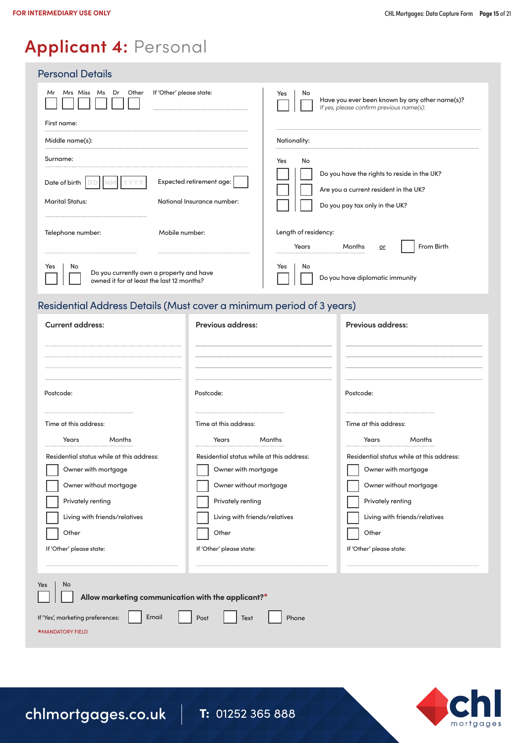### **Applicant 4:** Personal

| <b>Personal Details</b>                                                                            |                            |                                                                                                         |
|----------------------------------------------------------------------------------------------------|----------------------------|---------------------------------------------------------------------------------------------------------|
| Other<br>Mrs Miss Ms Dr<br>Mr                                                                      | If 'Other' please state:   | Yes<br>No<br>Have you ever been known by any other name(s)?<br>If yes, please confirm previous name(s): |
| First name:                                                                                        |                            |                                                                                                         |
| Middle name(s):                                                                                    |                            | Nationality:                                                                                            |
| Surname:                                                                                           |                            | No<br>Yes<br>Do you have the rights to reside in the UK?                                                |
| Date of birth $\vert$                                                                              | Expected retirement age:   | Are you a current resident in the UK?                                                                   |
| <b>Marital Status:</b>                                                                             | National Insurance number: | Do you pay tax only in the UK?                                                                          |
| Telephone number:                                                                                  | Mobile number:             | Length of residency:<br>From Birth<br>Years<br>Months<br>or                                             |
| Yes<br>No<br>Do you currently own a property and have<br>owned it for at least the last 12 months? |                            | Yes<br>No<br>Do you have diplomatic immunity                                                            |

### Residential Address Details (Must cover a minimum period of 3 years)

| <b>Current address:</b>                                              | <b>Previous address:</b>                  | <b>Previous address:</b>                  |
|----------------------------------------------------------------------|-------------------------------------------|-------------------------------------------|
|                                                                      |                                           |                                           |
| Postcode:                                                            | Postcode:                                 | Postcode:                                 |
| Time at this address:                                                | Time at this address:                     | Time at this address:                     |
| Years<br>Months                                                      | Years<br>Months                           | Years<br>Months                           |
| Residential status while at this address:                            | Residential status while at this address: | Residential status while at this address: |
| Owner with mortgage                                                  | Owner with mortgage                       | Owner with mortgage                       |
| Owner without mortgage                                               | Owner without mortgage                    | Owner without mortgage                    |
| Privately renting                                                    | Privately renting                         | Privately renting                         |
| Living with friends/relatives                                        | Living with friends/relatives             | Living with friends/relatives             |
| Other                                                                | Other                                     | Other                                     |
| If 'Other' please state:                                             | If 'Other' please state:                  | If 'Other' please state:                  |
|                                                                      |                                           |                                           |
| No<br>Yes<br>Allow marketing communication with the applicant?*      |                                           |                                           |
| If 'Yes', marketing preferences:<br>Email<br><b>*MANDATORY FIELD</b> | Phone<br>Post<br>Text                     |                                           |

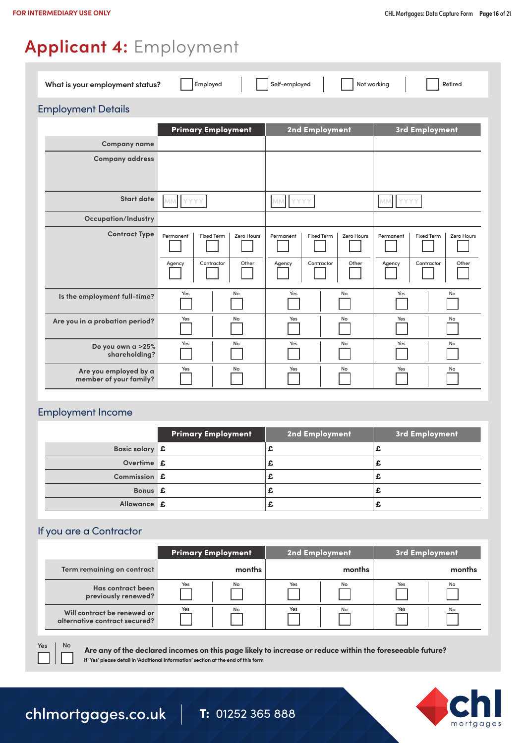## **Applicant 4:** Employment

| Self-employed<br>Not working<br>What is your employment status?<br>Employed<br>Retired |                           |                   |                   |
|----------------------------------------------------------------------------------------|---------------------------|-------------------|-------------------|
| <b>Employment Details</b>                                                              |                           |                   |                   |
|                                                                                        | <b>Primary Employment</b> | 2nd Employment    | 3rd Employment    |
| <b>Company name</b>                                                                    |                           |                   |                   |
| <b>Company address</b>                                                                 |                           |                   |                   |
| <b>Start date</b>                                                                      | <b>MM</b>                 | <b>YYYY</b>       | MM                |
|                                                                                        | YYYY                      | MM                | YYYY              |
| <b>Occupation/Industry</b>                                                             |                           |                   |                   |
| <b>Contract Type</b>                                                                   | Permanent                 | Permanent         | <b>Fixed Term</b> |
|                                                                                        | <b>Fixed Term</b>         | <b>Fixed Term</b> | Zero Hours        |
|                                                                                        | Zero Hours                | Zero Hours        | Permanent         |
|                                                                                        | Other                     | Contractor        | Contractor        |
|                                                                                        | Contractor                | Other             | Other             |
|                                                                                        | Agency                    | Agency            | Agency            |
| Is the employment full-time?                                                           | Yes                       | Yes               | Yes               |
|                                                                                        | No                        | No                | No                |
| Are you in a probation period?                                                         | Yes                       | Yes               | Yes               |
|                                                                                        | No                        | No                | No                |
| Do you own a >25%                                                                      | Yes                       | Yes               | Yes               |
| shareholding?                                                                          | No                        | No                | No                |
| Are you employed by a                                                                  | Yes                       | Yes               | Yes               |
| member of your family?                                                                 | No                        | No                | No                |

#### Employment Income

|                | <b>Primary Employment</b> | 2nd Employment | 3rd Employment |
|----------------|---------------------------|----------------|----------------|
| Basic salary £ |                           |                |                |
| Overtime £     |                           | ж.             |                |
| Commission £   |                           |                |                |
| Bonus £        |                           |                |                |
| Allowance £    |                           |                |                |

#### If you are a Contractor

|                               | <b>Primary Employment</b> | 2nd Employment | 3rd Employment |
|-------------------------------|---------------------------|----------------|----------------|
| Term remaining on contract    | months                    | months         | months         |
| Has contract been             | Yes                       | Yes            | Yes            |
| previously renewed?           | No                        | No             | No             |
| Will contract be renewed or   | Yes                       | Yes            | Yes            |
| alternative contract secured? | No                        | No             | No             |

**Are any of the declared incomes on this page likely to increase or reduce within the foreseeable future? If 'Yes' please detail in 'Additional Information' section at the end of this form**



Yes | No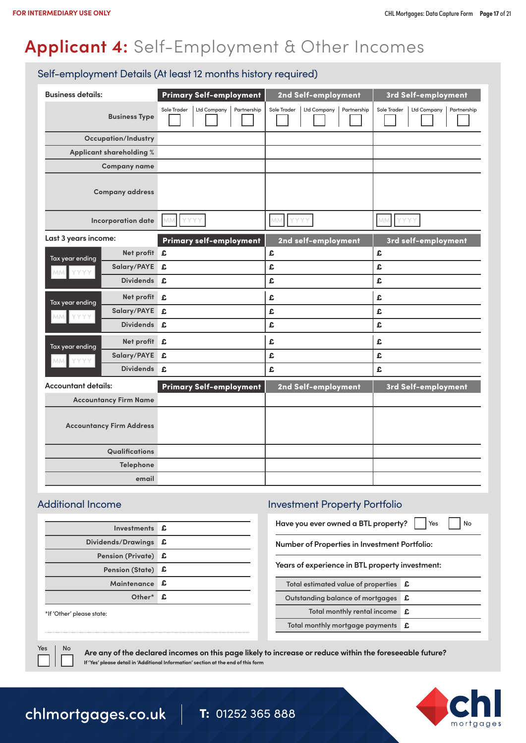# **Applicant 4:** Self-Employment & Other Incomes

#### Self-employment Details (At least 12 months history required)

| <b>Business details:</b>   |                                 | Primary Self-employment                   | 2nd Self-employment                       | 3rd Self-employment                       |
|----------------------------|---------------------------------|-------------------------------------------|-------------------------------------------|-------------------------------------------|
|                            | <b>Business Type</b>            | Sole Trader<br>Ltd Company<br>Partnership | Ltd Company<br>Partnership<br>Sole Trader | Ltd Company<br>Partnership<br>Sole Trader |
|                            | <b>Occupation/Industry</b>      |                                           |                                           |                                           |
|                            | Applicant shareholding %        |                                           |                                           |                                           |
|                            | <b>Company name</b>             |                                           |                                           |                                           |
|                            | <b>Company address</b>          |                                           |                                           |                                           |
|                            | <b>Incorporation date</b>       | YYYY<br>MM                                | YYYY<br>MM                                | MM.<br>YYYY                               |
| Last 3 years income:       |                                 | <b>Primary self-employment</b>            | 2nd self-employment                       | 3rd self-employment                       |
| Tax year ending            | Net profit £                    |                                           | £                                         | £                                         |
| YYYY<br><b>MM</b>          | Salary/PAYE £                   |                                           | £                                         | £                                         |
|                            | <b>Dividends</b>                | £.                                        | £                                         | £                                         |
| Tax year ending            | Net profit £                    |                                           | £                                         | £                                         |
| YYYY<br>MM.                | Salary/PAYE                     | £                                         | £                                         | £                                         |
|                            | <b>Dividends</b>                | £.                                        | £                                         | £                                         |
| Tax year ending            | Net profit £                    |                                           | £                                         | £                                         |
| MM YYYY                    | Salary/PAYE                     | £                                         | £                                         | £                                         |
|                            | Dividends £                     |                                           | £                                         | £                                         |
| <b>Accountant details:</b> |                                 | <b>Primary Self-employment</b>            | 2nd Self-employment                       | 3rd Self-employment                       |
|                            | <b>Accountancy Firm Name</b>    |                                           |                                           |                                           |
|                            | <b>Accountancy Firm Address</b> |                                           |                                           |                                           |
|                            | Qualifications                  |                                           |                                           |                                           |
|                            | Telephone                       |                                           |                                           |                                           |
|                            | email                           |                                           |                                           |                                           |

| Investments £       |
|---------------------|
| £                   |
| Pension (Private) £ |
| Pension (State) £   |
| Maintenance £       |
| Other* £            |
|                     |

#### \*If 'Other' please state:

### Additional Income Investment Property Portfolio

**Have you ever owned a BTL property?** | | Yes | | No

**Number of Properties in Investment Portfolio:**

**Years of experience in BTL property investment:**

| Total estimated value of properties <b>£</b>       |  |
|----------------------------------------------------|--|
| Outstanding balance of mortgages <b>£</b>          |  |
| Total monthly rental income <b>£</b>               |  |
| Total monthly mortgage payments $\mathbf{\pounds}$ |  |
|                                                    |  |

Yes | No

**Are any of the declared incomes on this page likely to increase or reduce within the foreseeable future? If 'Yes' please detail in 'Additional Information' section at the end of this form**

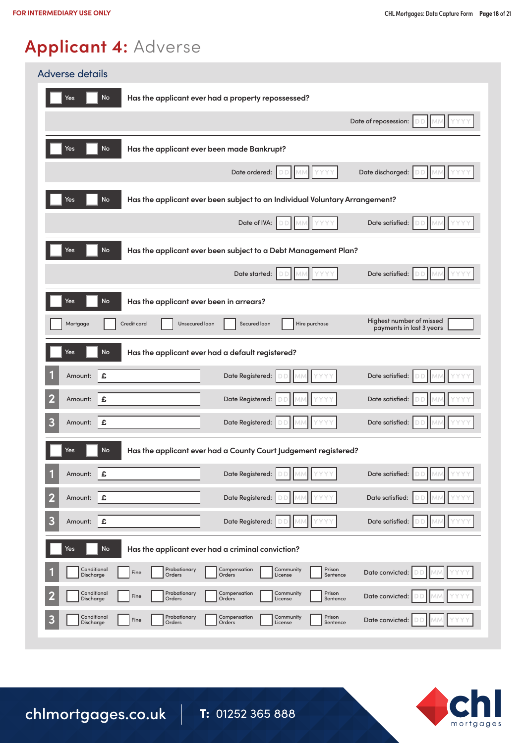# **Applicant 4:** Adverse

| <b>Adverse details</b>                                                                                                                                     |  |  |  |  |  |  |
|------------------------------------------------------------------------------------------------------------------------------------------------------------|--|--|--|--|--|--|
| <b>No</b><br>Has the applicant ever had a property repossessed?<br>Yes                                                                                     |  |  |  |  |  |  |
| Date of reposession:                                                                                                                                       |  |  |  |  |  |  |
| <b>No</b><br>Has the applicant ever been made Bankrupt?<br>Yes                                                                                             |  |  |  |  |  |  |
| Date ordered:<br>Date discharged:                                                                                                                          |  |  |  |  |  |  |
| <b>No</b><br>Yes<br>Has the applicant ever been subject to an Individual Voluntary Arrangement?                                                            |  |  |  |  |  |  |
| Date satisfied:<br>Date of IVA:                                                                                                                            |  |  |  |  |  |  |
| <b>No</b><br>Has the applicant ever been subject to a Debt Management Plan?<br>Yes                                                                         |  |  |  |  |  |  |
| Date satisfied:<br>Date started:<br>D                                                                                                                      |  |  |  |  |  |  |
| <b>No</b><br>Has the applicant ever been in arrears?<br>Yes                                                                                                |  |  |  |  |  |  |
| Highest number of missed<br>Credit card<br>Unsecured loan<br>Secured loan<br>Hire purchase<br>Mortgage<br>payments in last 3 years                         |  |  |  |  |  |  |
| No<br>Has the applicant ever had a default registered?<br>Yes                                                                                              |  |  |  |  |  |  |
| £<br>Date Registered:<br>Date satisfied:<br>Amount:                                                                                                        |  |  |  |  |  |  |
| 2<br>£<br>Date Registered:<br>Date satisfied:<br>Amount:                                                                                                   |  |  |  |  |  |  |
| 3<br>Date satisfied:<br>Date Registered:<br>£<br>Amount:                                                                                                   |  |  |  |  |  |  |
| No<br>Has the applicant ever had a County Court Judgement registered?<br>Yes                                                                               |  |  |  |  |  |  |
| Date Registered:<br>Date satisfied:<br>1<br>£<br>Amount:                                                                                                   |  |  |  |  |  |  |
| 2<br>£<br>Date Registered:<br>Date satisfied:<br>Amount:                                                                                                   |  |  |  |  |  |  |
| 3<br>Date Registered:<br>Date satisfied:<br>£<br>Amount:                                                                                                   |  |  |  |  |  |  |
| No<br>Yes<br>Has the applicant ever had a criminal conviction?                                                                                             |  |  |  |  |  |  |
| Conditional<br>Probationary<br>Compensation<br>Community<br>Prison<br>Date convicted:<br>Fine<br>Discharge<br>Orders<br>Orders<br>License<br>Sentence      |  |  |  |  |  |  |
| Conditional<br>Probationary<br>Compensation<br>Community<br>Prison<br>Date convicted:<br>Fine<br>Discharge<br>Orders<br>Sentence<br>Orders<br>License      |  |  |  |  |  |  |
| Conditional<br>Probationary<br>Compensation<br>Community<br>Prison<br>3<br>Date convicted:<br>Fine<br>Discharge<br>Orders<br>Orders<br>License<br>Sentence |  |  |  |  |  |  |

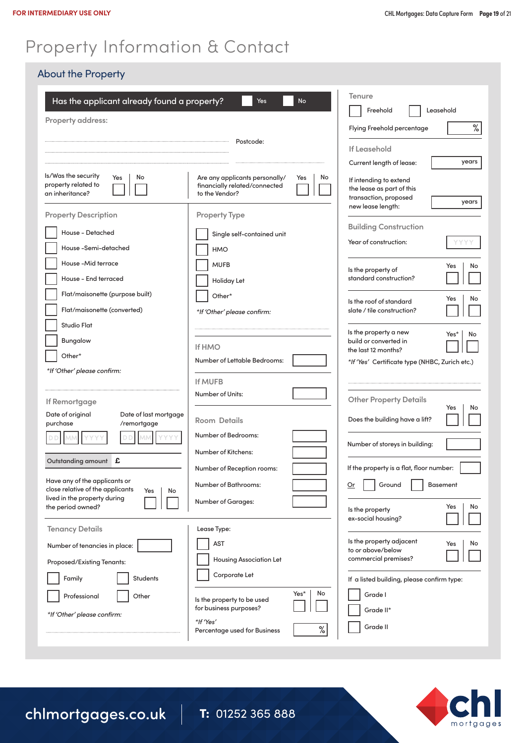### Property Information & Contact

#### About the Property

| Has the applicant already found a property?<br>Property address:                                               | Yes<br><b>No</b><br>Postcode:                                                                  | Tenure<br>Freehold<br>Leasehold<br>$\%$<br>Flying Freehold percentage<br>If Leasehold                      |
|----------------------------------------------------------------------------------------------------------------|------------------------------------------------------------------------------------------------|------------------------------------------------------------------------------------------------------------|
|                                                                                                                | Current length of lease:<br>years                                                              |                                                                                                            |
| Is/Was the security<br>Yes<br>No<br>property related to<br>an inheritance?                                     | Are any applicants personally/<br>Yes<br>No<br>financially related/connected<br>to the Vendor? | If intending to extend<br>the lease as part of this<br>transaction, proposed<br>years<br>new lease length: |
| <b>Property Description</b>                                                                                    | <b>Property Type</b>                                                                           |                                                                                                            |
| House - Detached<br>House-Semi-detached                                                                        | Single self-contained unit<br><b>HMO</b>                                                       | <b>Building Construction</b><br>Year of construction:<br>YYY)                                              |
| House-Mid terrace<br>House - End terraced                                                                      | <b>MUFB</b><br>Holiday Let                                                                     | Yes<br>No<br>Is the property of<br>standard construction?                                                  |
| Flat/maisonette (purpose built)<br>Flat/maisonette (converted)                                                 | Other*                                                                                         | No<br>Yes<br>Is the roof of standard                                                                       |
| Studio Flat                                                                                                    | *If 'Other' please confirm:                                                                    | slate / tile construction?                                                                                 |
| Bungalow                                                                                                       |                                                                                                | Is the property a new<br>Yes*<br>No<br>build or converted in                                               |
| Other*                                                                                                         | <b>If HMO</b><br><b>Number of Lettable Bedrooms:</b>                                           | the last 12 months?<br>*If 'Yes' Certificate type (NHBC, Zurich etc.)                                      |
| *If 'Other' please confirm:                                                                                    |                                                                                                |                                                                                                            |
| If Remortgage                                                                                                  | <b>If MUFB</b><br><b>Number of Units:</b>                                                      | <b>Other Property Details</b>                                                                              |
| Date of last mortgage<br>Date of original<br>purchase<br>/remortgage                                           | Room Details                                                                                   | Yes<br>No<br>Does the building have a lift?                                                                |
|                                                                                                                | <b>Number of Bedrooms:</b><br>Number of Kitchens:                                              | Number of storeys in building:                                                                             |
| Outstanding amount<br>£                                                                                        | Number of Reception rooms:                                                                     | If the property is a flat, floor number:                                                                   |
| Have any of the applicants or<br>close relative of the applicants<br>Yes<br>No<br>lived in the property during | <b>Number of Bathrooms:</b>                                                                    | Ground<br><b>Basement</b><br>Qr                                                                            |
| the period owned?                                                                                              | <b>Number of Garages:</b>                                                                      | No<br>Yes<br>Is the property<br>ex-social housing?                                                         |
| <b>Tenancy Details</b>                                                                                         | Lease Type:                                                                                    | Is the property adjacent<br>Yes<br>No                                                                      |
| Number of tenancies in place:                                                                                  | <b>AST</b><br><b>Housing Association Let</b>                                                   | to or above/below<br>commercial premises?                                                                  |
| Proposed/Existing Tenants:<br>Family<br><b>Students</b>                                                        | Corporate Let                                                                                  | If a listed building, please confirm type:                                                                 |
| Other<br>Professional                                                                                          | Yes*<br>No<br>Is the property to be used                                                       | Grade I                                                                                                    |
| *If 'Other' please confirm:                                                                                    | for business purposes?                                                                         | Grade II*                                                                                                  |
|                                                                                                                | *If 'Yes'<br>%<br>Percentage used for Business                                                 | Grade II                                                                                                   |

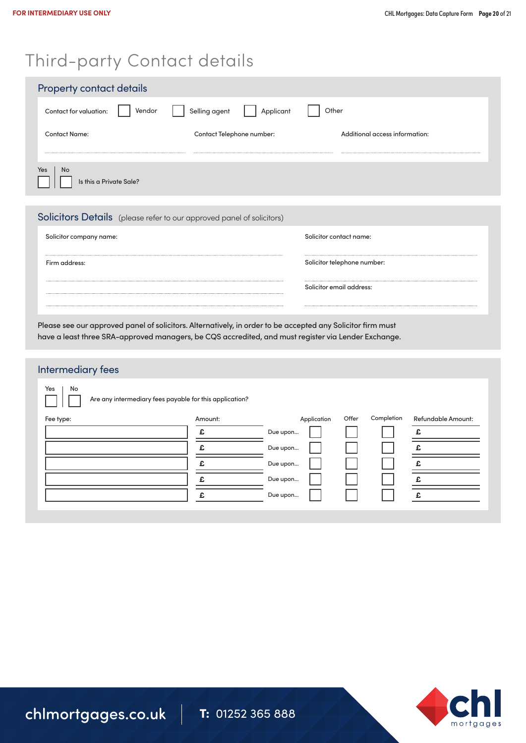### Third-party Contact details

| <b>Property contact details</b>             |                            |                                |  |  |  |  |
|---------------------------------------------|----------------------------|--------------------------------|--|--|--|--|
| Contact for valuation:<br>Vendor            | Selling agent<br>Applicant | Other                          |  |  |  |  |
| <b>Contact Name:</b>                        | Contact Telephone number:  | Additional access information: |  |  |  |  |
| <b>No</b><br>Yes<br>Is this a Private Sale? |                            |                                |  |  |  |  |

#### Solicitors Details (please refer to our approved panel of solicitors)

| Solicitor company name: | Solicitor contact name:     |
|-------------------------|-----------------------------|
|                         |                             |
| Firm address:           | Solicitor telephone number: |
|                         |                             |
|                         | Solicitor email address:    |
|                         |                             |

Please see our approved panel of solicitors. Alternatively, in order to be accepted any Solicitor firm must have a least three SRA-approved managers, be CQS accredited, and must register via Lender Exchange.

### Intermediary fees

Yes | No

Are any intermediary fees payable for this application?

| Fee type: | Amount: | Application | Offer | Completion | Refundable Amount: |
|-----------|---------|-------------|-------|------------|--------------------|
|           | £.      | Due upon    |       |            |                    |
|           |         | Due upon    |       |            |                    |
|           |         | Due upon    |       |            |                    |
|           |         | Due upon    |       |            |                    |
|           |         | Due upon    |       |            |                    |
|           |         |             |       |            |                    |